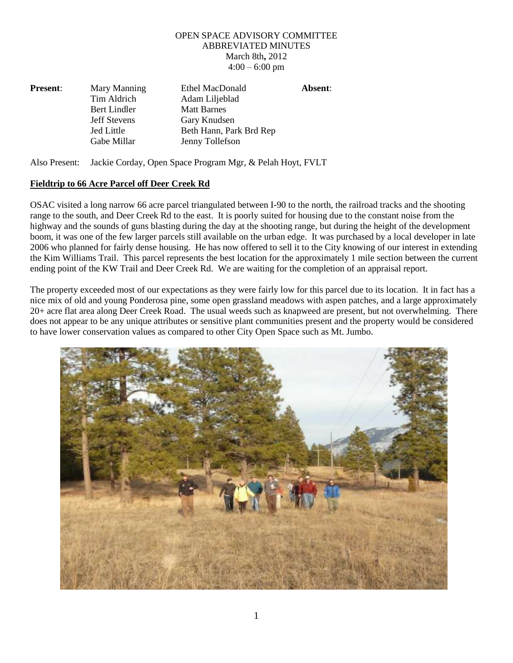## OPEN SPACE ADVISORY COMMITTEE ABBREVIATED MINUTES March 8th**,** 2012  $4:00 - 6:00$  pm

| <b>Present:</b> | Mary Manning        | <b>Ethel MacDonald</b>  | Absent: |
|-----------------|---------------------|-------------------------|---------|
|                 | Tim Aldrich         | Adam Liljeblad          |         |
|                 | Bert Lindler        | <b>Matt Barnes</b>      |         |
|                 | <b>Jeff Stevens</b> | Gary Knudsen            |         |
|                 | Jed Little          | Beth Hann, Park Brd Rep |         |
|                 | Gabe Millar         | Jenny Tollefson         |         |

Also Present: Jackie Corday, Open Space Program Mgr, & Pelah Hoyt, FVLT

## **Fieldtrip to 66 Acre Parcel off Deer Creek Rd**

OSAC visited a long narrow 66 acre parcel triangulated between I-90 to the north, the railroad tracks and the shooting range to the south, and Deer Creek Rd to the east. It is poorly suited for housing due to the constant noise from the highway and the sounds of guns blasting during the day at the shooting range, but during the height of the development boom, it was one of the few larger parcels still available on the urban edge. It was purchased by a local developer in late 2006 who planned for fairly dense housing. He has now offered to sell it to the City knowing of our interest in extending the Kim Williams Trail. This parcel represents the best location for the approximately 1 mile section between the current ending point of the KW Trail and Deer Creek Rd. We are waiting for the completion of an appraisal report.

The property exceeded most of our expectations as they were fairly low for this parcel due to its location. It in fact has a nice mix of old and young Ponderosa pine, some open grassland meadows with aspen patches, and a large approximately 20+ acre flat area along Deer Creek Road. The usual weeds such as knapweed are present, but not overwhelming. There does not appear to be any unique attributes or sensitive plant communities present and the property would be considered to have lower conservation values as compared to other City Open Space such as Mt. Jumbo.